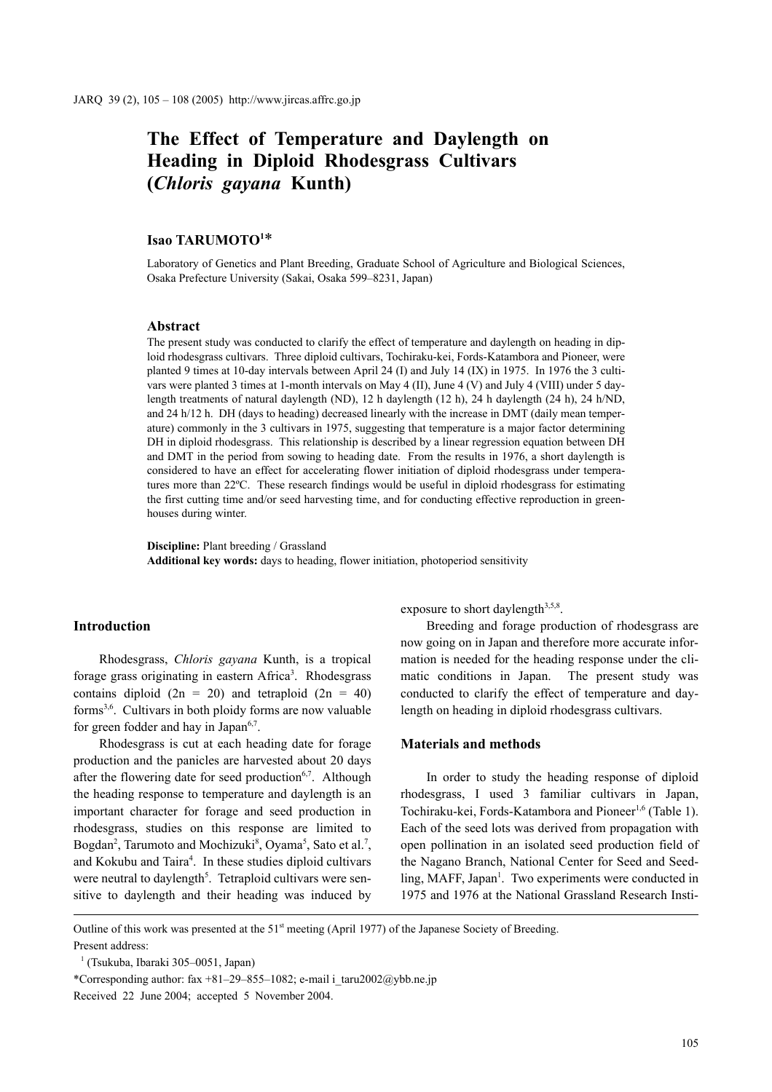# **The Effect of Temperature and Daylength on Heading in Diploid Rhodesgrass Cultivars (***Chloris gayana* **Kunth)**

## **Isao TARUMOTO1** \*

Laboratory of Genetics and Plant Breeding, Graduate School of Agriculture and Biological Sciences, Osaka Prefecture University (Sakai, Osaka 599–8231, Japan)

#### **Abstract**

The present study was conducted to clarify the effect of temperature and daylength on heading in diploid rhodesgrass cultivars. Three diploid cultivars, Tochiraku-kei, Fords-Katambora and Pioneer, were planted 9 times at 10-day intervals between April 24 (I) and July 14 (IX) in 1975. In 1976 the 3 cultivars were planted 3 times at 1-month intervals on May 4 (II), June 4 (V) and July 4 (VIII) under 5 daylength treatments of natural daylength (ND), 12 h daylength (12 h), 24 h daylength (24 h), 24 h/ND, and 24 h/12 h. DH (days to heading) decreased linearly with the increase in DMT (daily mean temperature) commonly in the 3 cultivars in 1975, suggesting that temperature is a major factor determining DH in diploid rhodesgrass. This relationship is described by a linear regression equation between DH and DMT in the period from sowing to heading date. From the results in 1976, a short daylength is considered to have an effect for accelerating flower initiation of diploid rhodesgrass under temperatures more than 22ºC. These research findings would be useful in diploid rhodesgrass for estimating the first cutting time and/or seed harvesting time, and for conducting effective reproduction in greenhouses during winter.

**Discipline:** Plant breeding / Grassland **Additional key words:** days to heading, flower initiation, photoperiod sensitivity

#### **Introduction**

Rhodesgrass, *Chloris gayana* Kunth, is a tropical forage grass originating in eastern Africa<sup>3</sup>. Rhodesgrass contains diploid  $(2n = 20)$  and tetraploid  $(2n = 40)$ forms3,6. Cultivars in both ploidy forms are now valuable for green fodder and hay in Japan $6,7$ .

Rhodesgrass is cut at each heading date for forage production and the panicles are harvested about 20 days after the flowering date for seed production<sup>6,7</sup>. Although the heading response to temperature and daylength is an important character for forage and seed production in rhodesgrass, studies on this response are limited to Bogdan<sup>2</sup>, Tarumoto and Mochizuki<sup>8</sup>, Oyama<sup>5</sup>, Sato et al.<sup>7</sup>, and Kokubu and Taira<sup>4</sup>. In these studies diploid cultivars were neutral to daylength<sup>5</sup>. Tetraploid cultivars were sensitive to daylength and their heading was induced by exposure to short daylength $3,5,8$ .

Breeding and forage production of rhodesgrass are now going on in Japan and therefore more accurate information is needed for the heading response under the climatic conditions in Japan. The present study was conducted to clarify the effect of temperature and daylength on heading in diploid rhodesgrass cultivars.

## **Materials and methods**

In order to study the heading response of diploid rhodesgrass, I used 3 familiar cultivars in Japan, Tochiraku-kei, Fords-Katambora and Pioneer<sup>1,6</sup> (Table 1). Each of the seed lots was derived from propagation with open pollination in an isolated seed production field of the Nagano Branch, National Center for Seed and Seedling, MAFF, Japan<sup>1</sup>. Two experiments were conducted in 1975 and 1976 at the National Grassland Research Insti-

Outline of this work was presented at the 51<sup>st</sup> meeting (April 1977) of the Japanese Society of Breeding. Present address:

<sup>1</sup> (Tsukuba, Ibaraki 305–0051, Japan)

<sup>\*</sup>Corresponding author: fax +81–29–855–1082; e-mail i\_taru2002@ybb.ne.jp Received 22 June 2004; accepted 5 November 2004.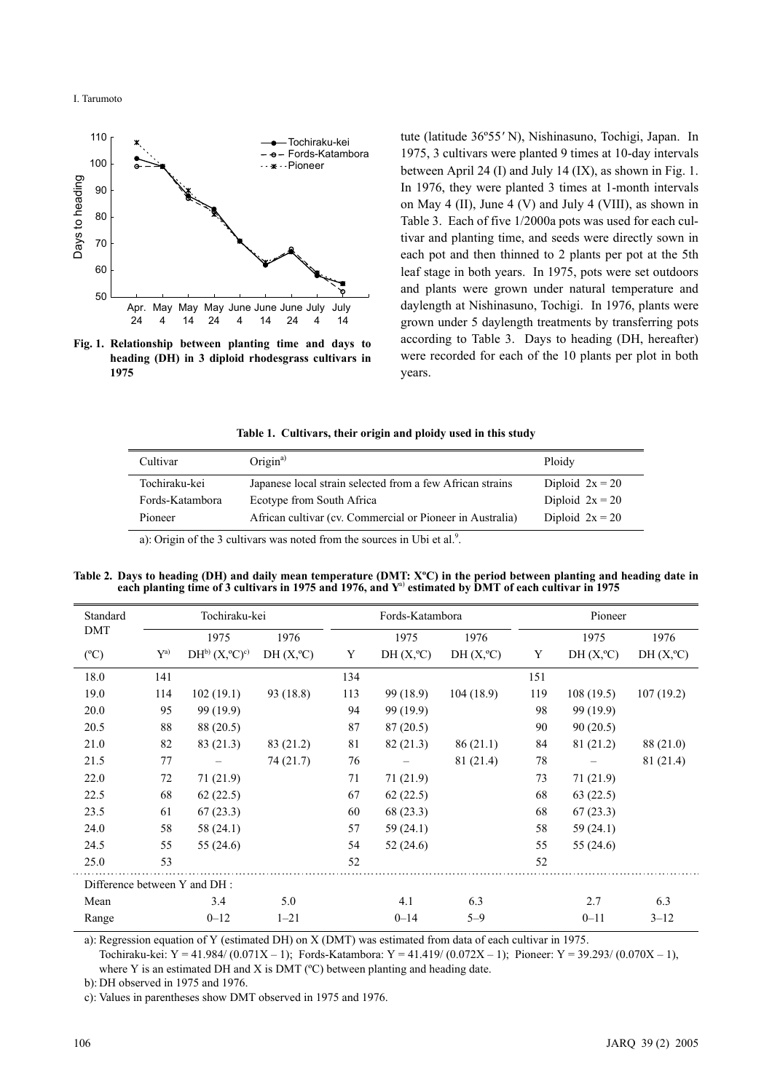I. Tarumoto

L,



**Fig. 1. Relationship between planting time and days to heading (DH) in 3 diploid rhodesgrass cultivars in 1975**

tute (latitude 36º55*'* N), Nishinasuno, Tochigi, Japan. In 1975, 3 cultivars were planted 9 times at 10-day intervals between April 24 (I) and July 14 (IX), as shown in Fig. 1. In 1976, they were planted 3 times at 1-month intervals on May 4 (II), June 4 (V) and July 4 (VIII), as shown in Table 3. Each of five 1/2000a pots was used for each cultivar and planting time, and seeds were directly sown in each pot and then thinned to 2 plants per pot at the 5th leaf stage in both years. In 1975, pots were set outdoors and plants were grown under natural temperature and daylength at Nishinasuno, Tochigi. In 1976, plants were grown under 5 daylength treatments by transferring pots according to Table 3. Days to heading (DH, hereafter) were recorded for each of the 10 plants per plot in both years.

| Table 1. Cultivars, their origin and ploidy used in this study |  |  |  |  |  |
|----------------------------------------------------------------|--|--|--|--|--|
|                                                                |  |  |  |  |  |

| Cultivar        | Origin <sup>a)</sup>                                      | Ploidy            |
|-----------------|-----------------------------------------------------------|-------------------|
| Tochiraku-kei   | Japanese local strain selected from a few African strains | Diploid $2x = 20$ |
| Fords-Katambora | Ecotype from South Africa                                 | Diploid $2x = 20$ |
| Pioneer         | African cultivar (cv. Commercial or Pioneer in Australia) | Diploid $2x = 20$ |
|                 |                                                           |                   |

a): Origin of the 3 cultivars was noted from the sources in Ubi et al.<sup>9</sup>.

**Table 2. Days to heading (DH) and daily mean temperature (DMT: XºC) in the period between planting and heading date in** each planting time of 3 cultivars in 1975 and 1976, and Y<sup>a)</sup> estimated by DMT of each cultivar in 1975

| Standard<br>Tochiraku-kei    |       |                             | Fords-Katambora    |     |                    | Pioneer            |     |                    |                    |
|------------------------------|-------|-----------------------------|--------------------|-----|--------------------|--------------------|-----|--------------------|--------------------|
| <b>DMT</b>                   |       | 1975                        | 1976               |     | 1975               | 1976               |     | 1975               | 1976               |
| $(^{\circ}C)$                | $Y^a$ | $DH^{b} (X, ^{\circ}C)^{c}$ | $DH(X, ^{\circ}C)$ | Y   | $DH(X, ^{\circ}C)$ | $DH(X, ^{\circ}C)$ | Y   | $DH(X, ^{\circ}C)$ | $DH(X, ^{\circ}C)$ |
| 18.0                         | 141   |                             |                    | 134 |                    |                    | 151 |                    |                    |
| 19.0                         | 114   | 102(19.1)                   | 93 (18.8)          | 113 | 99 (18.9)          | 104(18.9)          | 119 | 108(19.5)          | 107(19.2)          |
| 20.0                         | 95    | 99 (19.9)                   |                    | 94  | 99 (19.9)          |                    | 98  | 99 (19.9)          |                    |
| 20.5                         | 88    | 88 (20.5)                   |                    | 87  | 87(20.5)           |                    | 90  | 90(20.5)           |                    |
| 21.0                         | 82    | 83 (21.3)                   | 83 (21.2)          | 81  | 82 (21.3)          | 86(21.1)           | 84  | 81 (21.2)          | 88 (21.0)          |
| 21.5                         | 77    |                             | 74(21.7)           | 76  |                    | 81 (21.4)          | 78  |                    | 81 (21.4)          |
| 22.0                         | 72    | 71(21.9)                    |                    | 71  | 71(21.9)           |                    | 73  | 71(21.9)           |                    |
| 22.5                         | 68    | 62(22.5)                    |                    | 67  | 62(22.5)           |                    | 68  | 63(22.5)           |                    |
| 23.5                         | 61    | 67(23.3)                    |                    | 60  | 68 (23.3)          |                    | 68  | 67(23.3)           |                    |
| 24.0                         | 58    | 58 (24.1)                   |                    | 57  | 59(24.1)           |                    | 58  | 59 (24.1)          |                    |
| 24.5                         | 55    | 55(24.6)                    |                    | 54  | 52(24.6)           |                    | 55  | 55 (24.6)          |                    |
| 25.0                         | 53    |                             |                    | 52  |                    |                    | 52  |                    |                    |
| Difference between Y and DH: |       |                             |                    |     |                    |                    |     |                    |                    |
| Mean                         |       | 3.4                         | 5.0                |     | 4.1                | 6.3                |     | 2.7                | 6.3                |
| Range                        |       | $0 - 12$                    | $1 - 21$           |     | $0 - 14$           | $5 - 9$            |     | $0 - 11$           | $3 - 12$           |

a): Regression equation of Y (estimated DH) on X (DMT) was estimated from data of each cultivar in 1975.

Tochiraku-kei: Y = 41.984/ (0.071X – 1); Fords-Katambora: Y = 41.419/ (0.072X – 1); Pioneer: Y = 39.293/ (0.070X – 1), where Y is an estimated DH and X is DMT (°C) between planting and heading date.

b): DH observed in 1975 and 1976.

c): Values in parentheses show DMT observed in 1975 and 1976.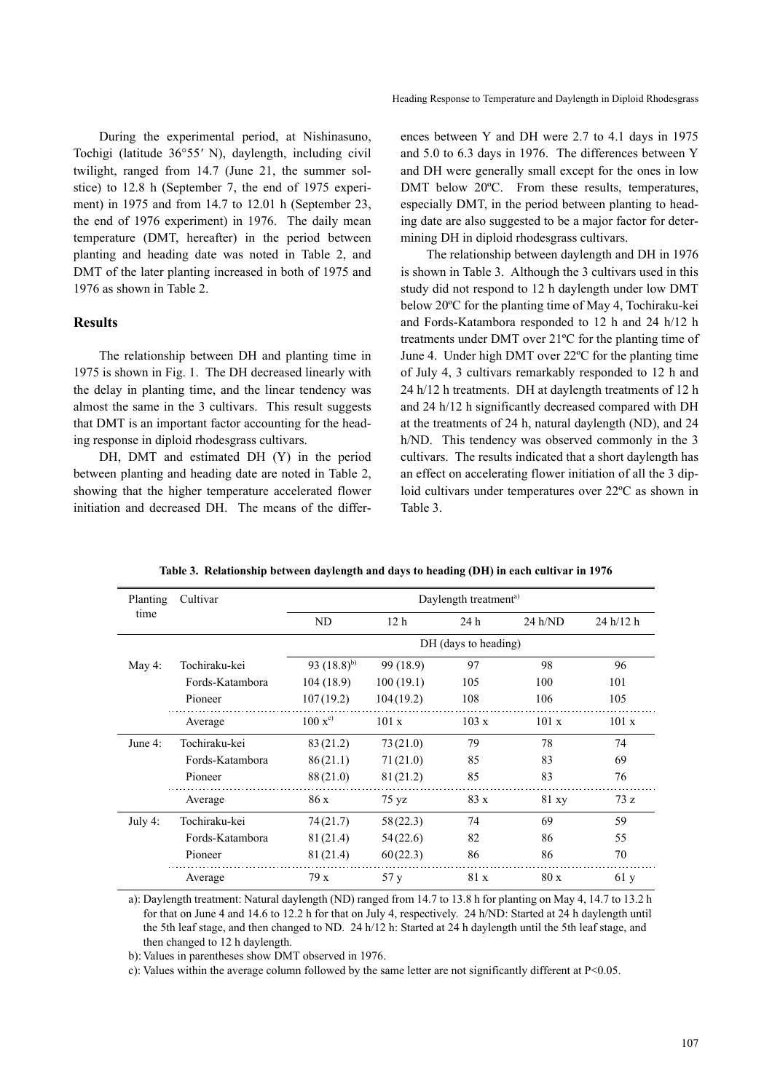During the experimental period, at Nishinasuno, Tochigi (latitude 36°55*'* N), daylength, including civil twilight, ranged from 14.7 (June 21, the summer solstice) to 12.8 h (September 7, the end of 1975 experiment) in 1975 and from 14.7 to 12.01 h (September 23, the end of 1976 experiment) in 1976. The daily mean temperature (DMT, hereafter) in the period between planting and heading date was noted in Table 2, and DMT of the later planting increased in both of 1975 and 1976 as shown in Table 2.

## **Results**

The relationship between DH and planting time in 1975 is shown in Fig. 1. The DH decreased linearly with the delay in planting time, and the linear tendency was almost the same in the 3 cultivars. This result suggests that DMT is an important factor accounting for the heading response in diploid rhodesgrass cultivars.

DH, DMT and estimated DH (Y) in the period between planting and heading date are noted in Table 2, showing that the higher temperature accelerated flower initiation and decreased DH. The means of the differences between Y and DH were 2.7 to 4.1 days in 1975 and 5.0 to 6.3 days in 1976. The differences between Y and DH were generally small except for the ones in low DMT below 20°C. From these results, temperatures, especially DMT, in the period between planting to heading date are also suggested to be a major factor for determining DH in diploid rhodesgrass cultivars.

The relationship between daylength and DH in 1976 is shown in Table 3. Although the 3 cultivars used in this study did not respond to 12 h daylength under low DMT below 20ºC for the planting time of May 4, Tochiraku-kei and Fords-Katambora responded to 12 h and 24 h/12 h treatments under DMT over 21ºC for the planting time of June 4. Under high DMT over 22ºC for the planting time of July 4, 3 cultivars remarkably responded to 12 h and 24 h/12 h treatments. DH at daylength treatments of 12 h and 24 h/12 h significantly decreased compared with DH at the treatments of 24 h, natural daylength (ND), and 24 h/ND. This tendency was observed commonly in the 3 cultivars. The results indicated that a short daylength has an effect on accelerating flower initiation of all the 3 diploid cultivars under temperatures over 22ºC as shown in Table 3.

| Planting   | Cultivar        | Daylength treatment <sup>a)</sup> |                 |       |         |           |  |  |  |
|------------|-----------------|-----------------------------------|-----------------|-------|---------|-----------|--|--|--|
| time       |                 | ND                                | 12 <sub>h</sub> | 24h   | 24 h/ND | 24 h/12 h |  |  |  |
|            |                 | DH (days to heading)              |                 |       |         |           |  |  |  |
| May 4:     | Tochiraku-kei   | 93 $(18.8)^{b}$                   | 99 (18.9)       | 97    | 98      | 96        |  |  |  |
|            | Fords-Katambora | 104(18.9)                         | 100(19.1)       | 105   | 100     | 101       |  |  |  |
|            | Pioneer         | 107(19.2)                         | 104(19.2)       | 108   | 106     | 105       |  |  |  |
|            | Average         | $100 x^{c}$                       | 101 x           | 103 x | 101 x   | 101 x     |  |  |  |
| June $4$ : | Tochiraku-kei   | 83(21.2)                          | 73(21.0)        | 79    | 78      | 74        |  |  |  |
|            | Fords-Katambora | 86(21.1)                          | 71(21.0)        | 85    | 83      | 69        |  |  |  |
|            | Pioneer         | 88(21.0)                          | 81(21.2)        | 85    | 83      | 76        |  |  |  |
|            | Average         | 86 x                              | 75 yz           | 83x   | 81 xy   | 73z       |  |  |  |
| July 4:    | Tochiraku-kei   | 74(21.7)                          | 58(22.3)        | 74    | 69      | 59        |  |  |  |
|            | Fords-Katambora | 81(21.4)                          | 54(22.6)        | 82    | 86      | 55        |  |  |  |
|            | Pioneer         | 81(21.4)                          | 60(22.3)        | 86    | 86      | 70        |  |  |  |
|            | Average         | 79x                               | 57 y            | 81 x  | 80x     | 61y       |  |  |  |

**Table 3. Relationship between daylength and days to heading (DH) in each cultivar in 1976**

a): Daylength treatment: Natural daylength (ND) ranged from 14.7 to 13.8 h for planting on May 4, 14.7 to 13.2 h for that on June 4 and 14.6 to 12.2 h for that on July 4, respectively. 24 h/ND: Started at 24 h daylength until the 5th leaf stage, and then changed to ND. 24 h/12 h: Started at 24 h daylength until the 5th leaf stage, and then changed to 12 h daylength.

b): Values in parentheses show DMT observed in 1976.

c): Values within the average column followed by the same letter are not significantly different at  $P<0.05$ .